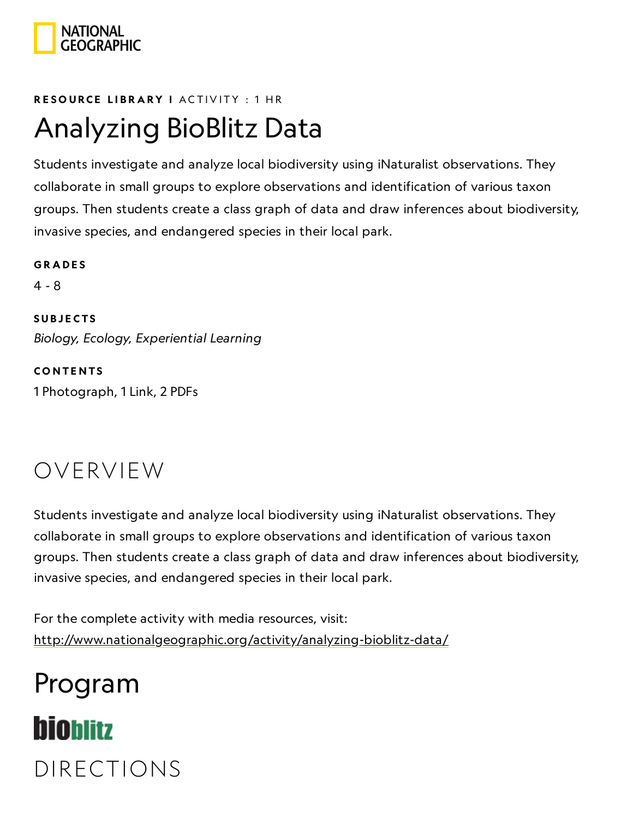

#### RESOURCE LIBRA[RY](https://www.nationalgeographic.org/education/resource-library/) I ACTIVITY : 1 HR

## Analyzing BioBlitz Data

Students investigate and analyze local biodiversity using iNaturalist observations. They collaborate in small groups to explore observations and identification of various taxon groups. Then students create a class graph of data and draw inferences about biodiversity, invasive species, and endangered species in their local park.

**GRADES** 4 - 8 **SUBJECTS** Biology, Ecology, Experiential Learning

**CONTENTS** 1 Photograph, 1 Link, 2 PDFs

### OVERVIEW

Students investigate and analyze local biodiversity using iNaturalist observations. They collaborate in small groups to explore observations and identification of various taxon groups. Then students create a class graph of data and draw inferences about biodiversity, invasive species, and endangered species in their local park.

For the complete activity with media resources, visit: <http://www.nationalgeographic.org/activity/analyzing-bioblitz-data/>

# Program **bioblitz** DIRECTIONS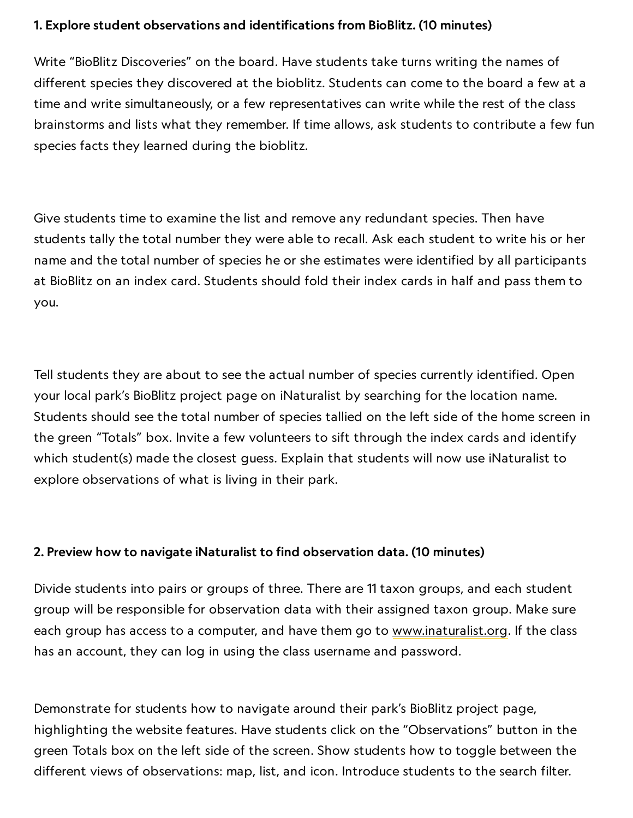#### 1. Explore student observations and identifications from BioBlitz. (10 minutes)

Write "BioBlitz Discoveries" on the board. Have students take turns writing the names of different species they discovered at the bioblitz. Students can come to the board a few at a time and write simultaneously, or a few representatives can write while the rest of the class brainstorms and lists what they remember. If time allows, ask students to contribute a few fun species facts they learned during the bioblitz.

Give students time to examine the list and remove any redundant species. Then have students tally the total number they were able to recall. Ask each student to write his or her name and the total number of species he or she estimates were identified by all participants at BioBlitz on an index card. Students should fold their index cards in half and pass them to you.

Tell students they are about to see the actual number of species currently identified. Open your local park's BioBlitz project page on iNaturalist by searching for the location name. Students should see the total number of species tallied on the left side of the home screen in the green "Totals" box. Invite a few volunteers to sift through the index cards and identify which student(s) made the closest guess. Explain that students will now use iNaturalist to explore observations of what is living in their park.

#### 2. Preview how to navigate iNaturalist to find observation data. (10 minutes)

Divide students into pairs or groups of three. There are 11 taxon groups, and each student group will be responsible for observation data with their assigned taxon group. Make sure each group has access to a computer, and have them go to [www.inaturalist.org.](http://www.inaturalist.org/) If the class has an account, they can log in using the class username and password.

Demonstrate for students how to navigate around their park's BioBlitz project page, highlighting the website features. Have students click on the "Observations" button in the green Totals box on the left side of the screen. Show students how to toggle between the different views of observations: map, list, and icon. Introduce students to the search filter.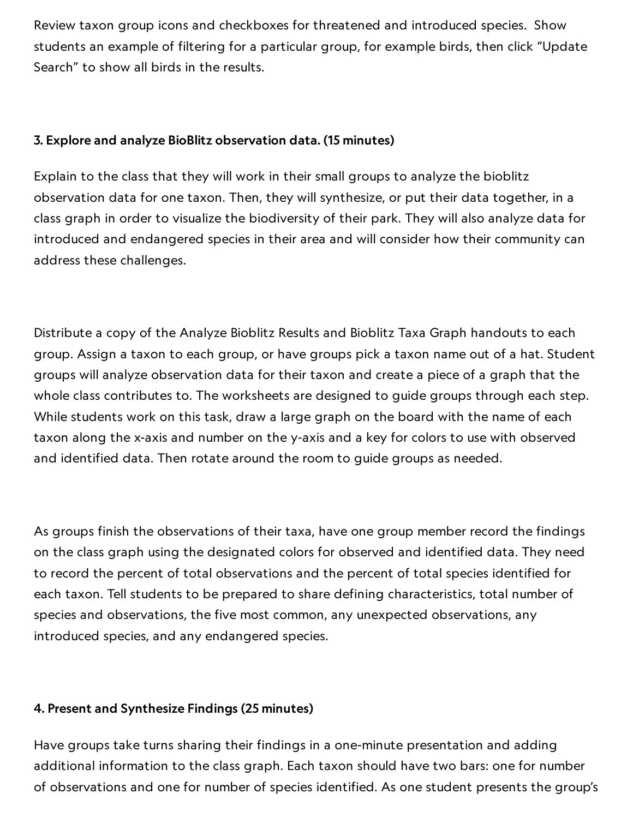Review taxon group icons and checkboxes for threatened and introduced species. Show students an example of filtering for a particular group, for example birds, then click "Update Search" to show all birds in the results.

#### 3. Explore and analyze BioBlitz observation data. (15 minutes)

Explain to the class that they will work in their small groups to analyze the bioblitz observation data for one taxon. Then, they will synthesize, or put their data together, in a class graph in order to visualize the biodiversity of their park. They will also analyze data for introduced and endangered species in their area and will consider how their community can address these challenges.

Distribute a copy of the Analyze Bioblitz Results and Bioblitz Taxa Graph handouts to each group. Assign a taxon to each group, or have groups pick a taxon name out of a hat. Student groups will analyze observation data for their taxon and create a piece of a graph that the whole class contributes to. The worksheets are designed to guide groups through each step. While students work on this task, draw a large graph on the board with the name of each taxon along the x-axis and number on the y-axis and a key for colors to use with observed and identified data. Then rotate around the room to guide groups as needed.

As groups finish the observations of their taxa, have one group member record the findings on the class graph using the designated colors for observed and identified data. They need to record the percent of total observations and the percent of total species identified for each taxon. Tell students to be prepared to share defining characteristics, total number of species and observations, the five most common, any unexpected observations, any introduced species, and any endangered species.

#### 4. Present and Synthesize Findings (25 minutes)

https://www.nationalgeographic.org/activity/analyzing-bioblitz-data/print/ 3/11 Have groups take turns sharing their findings in a one-minute presentation and adding additional information to the class graph. Each taxon should have two bars: one for number of observations and one for number of species identified. As one student presents the group's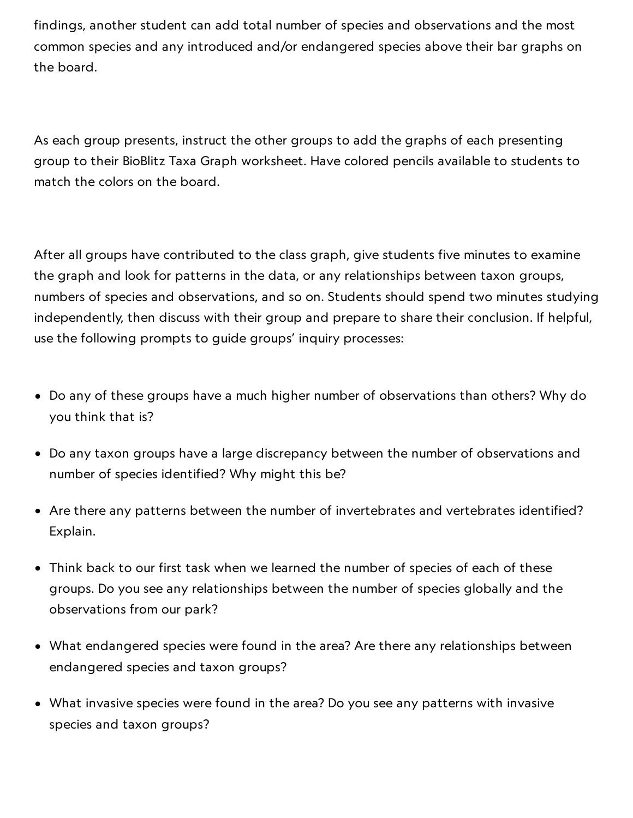findings, another student can add total number of species and observations and the most common species and any introduced and/or endangered species above their bar graphs on the board.

As each group presents, instruct the other groups to add the graphs of each presenting group to their BioBlitz Taxa Graph worksheet. Have colored pencils available to students to match the colors on the board.

After all groups have contributed to the class graph, give students five minutes to examine the graph and look for patterns in the data, or any relationships between taxon groups, numbers of species and observations, and so on. Students should spend two minutes studying independently, then discuss with their group and prepare to share their conclusion. If helpful, use the following prompts to guide groups' inquiry processes:

- Do any of these groups have a much higher number of observations than others? Why do you think that is?
- Do any taxon groups have a large discrepancy between the number of observations and number of species identified? Why might this be?
- Are there any patterns between the number of invertebrates and vertebrates identified? Explain.
- Think back to our first task when we learned the number of species of each of these groups. Do you see any relationships between the number of species globally and the observations from our park?
- What endangered species were found in the area? Are there any relationships between endangered species and taxon groups?
- What invasive species were found in the area? Do you see any patterns with invasive species and taxon groups?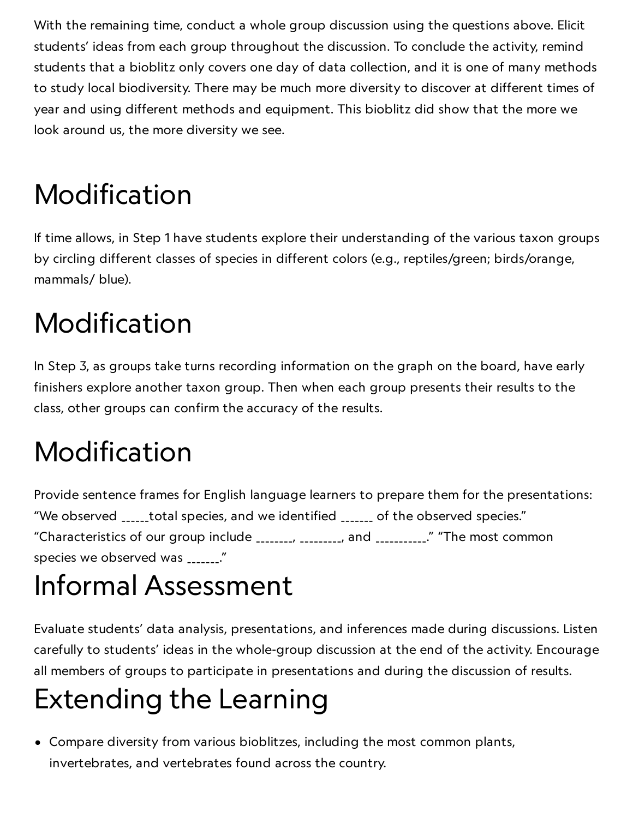With the remaining time, conduct a whole group discussion using the questions above. Elicit students' ideas from each group throughout the discussion. To conclude the activity, remind students that a bioblitz only covers one day of data collection, and it is one of many methods to study local biodiversity. There may be much more diversity to discover at different times of year and using different methods and equipment. This bioblitz did show that the more we look around us, the more diversity we see.

# Modification

If time allows, in Step 1 have students explore their understanding of the various taxon groups by circling different classes of species in different colors (e.g., reptiles/green; birds/orange, mammals/ blue).

# Modification

In Step 3, as groups take turns recording information on the graph on the board, have early finishers explore another taxon group. Then when each group presents their results to the class, other groups can confirm the accuracy of the results.

# Modification

Provide sentence frames for English language learners to prepare them for the presentations: "We observed \_\_\_\_\_\_total species, and we identified \_\_\_\_\_\_\_ of the observed species." "Characteristics of our group include \_\_\_\_\_\_\_\_, \_\_\_\_\_\_\_\_\_, and \_\_\_\_\_\_\_\_\_\_\_." "The most common species we observed was \_\_\_\_\_\_\_."

## Informal Assessment

Evaluate students' data analysis, presentations, and inferences made during discussions. Listen carefully to students' ideas in the whole-group discussion at the end of the activity. Encourage all members of groups to participate in presentations and during the discussion of results.

# Extending the Learning

Compare diversity from various bioblitzes, including the most common plants, invertebrates, and vertebrates found across the country.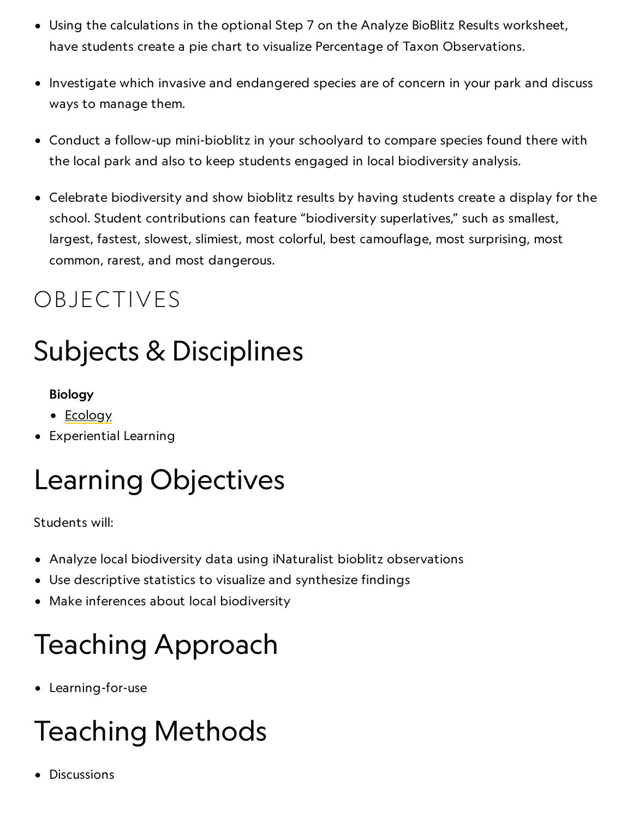- Using the calculations in the optional Step 7 on the Analyze BioBlitz Results worksheet, have students create a pie chart to visualize Percentage of Taxon Observations.
	- Investigate which invasive and endangered species are of concern in your park and discuss ways to manage them.
- Conduct a follow-up mini-bioblitz in your schoolyard to compare species found there with the local park and also to keep students engaged in local biodiversity analysis.
- Celebrate biodiversity and show bioblitz results by having students create a display for the school. Student contributions can feature "biodiversity superlatives," such as smallest, largest, fastest, slowest, slimiest, most colorful, best camouflage, most surprising, most common, rarest, and most dangerous.

### OBJECTIVES

# Subjects & Disciplines

### Biology

- [Ecology](http://education.nationalgeographic.com/education/encyclopedia/ecology/?ar_a=1)
- Experiential Learning

# Learning Objectives

Students will:

- Analyze local biodiversity data using iNaturalist bioblitz observations
- Use descriptive statistics to visualize and synthesize findings
- Make inferences about local biodiversity

# Teaching Approach

Learning-for-use

# Teaching Methods

Discussions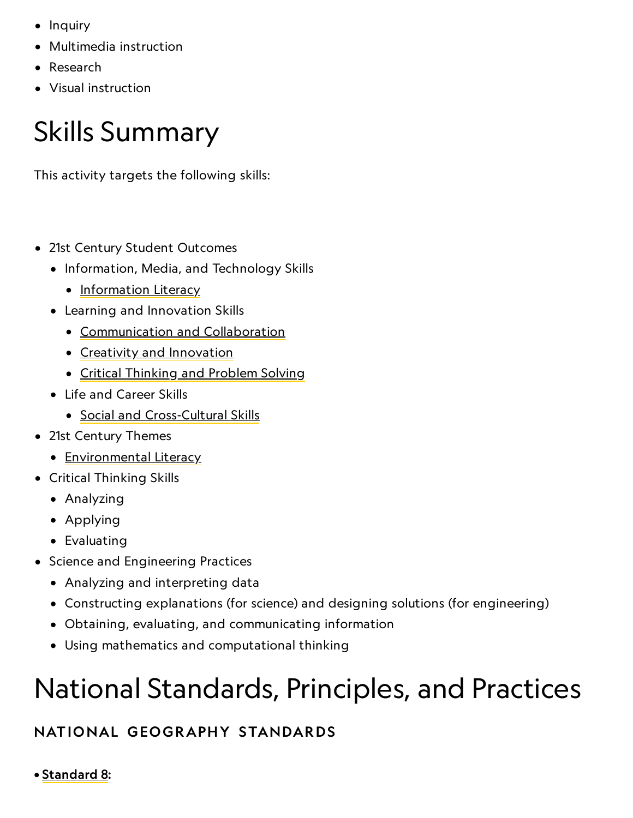- $\bullet$  Inquiry  $\bullet$  Inquiry
	- Multimedia instruction
	- Research
	- Visual instruction

# Skills Summary

This activity targets the following skills:

- 21st Century Student Outcomes
	- Information, Media, and Technology Skills
		- [Information](http://www.p21.org/index.php?option=com_content&task=view&id=264&Itemid=120) Literacy
	- Learning and Innovation Skills
		- [Communication](http://www.p21.org/index.php?option=com_content&task=view&id=261&Itemid=120) and Collaboration
		- Creativity and [Innovation](http://www.p21.org/index.php?option=com_content&task=view&id=262&Itemid=120)
		- Critical [Thinking](http://www.p21.org/index.php?option=com_content&task=view&id=260&Itemid=120) and Problem Solving
	- Life and Career Skills
		- Social and [Cross-Cultural](http://www.p21.org/index.php?option=com_content&task=view&id=266&Itemid=120) Skills
- 21st Century Themes
	- [Environmental](http://www.p21.org/index.php?option=com_content&task=view&id=830&Itemid=120) Literacy
- Critical Thinking Skills
	- Analyzing
	- Applying
	- Evaluating
- Science and Engineering Practices
	- Analyzing and interpreting data
	- Constructing explanations (for science) and designing solutions (for engineering)
	- Obtaining, evaluating, and communicating information
	- Using mathematics and computational thinking

# National Standards, Principles, and Practices

### NATIONAL GEOGRAPHY STANDARDS

• [Standard](https://www.nationalgeographic.org/education/standards/national-geography-standards/8/) 8: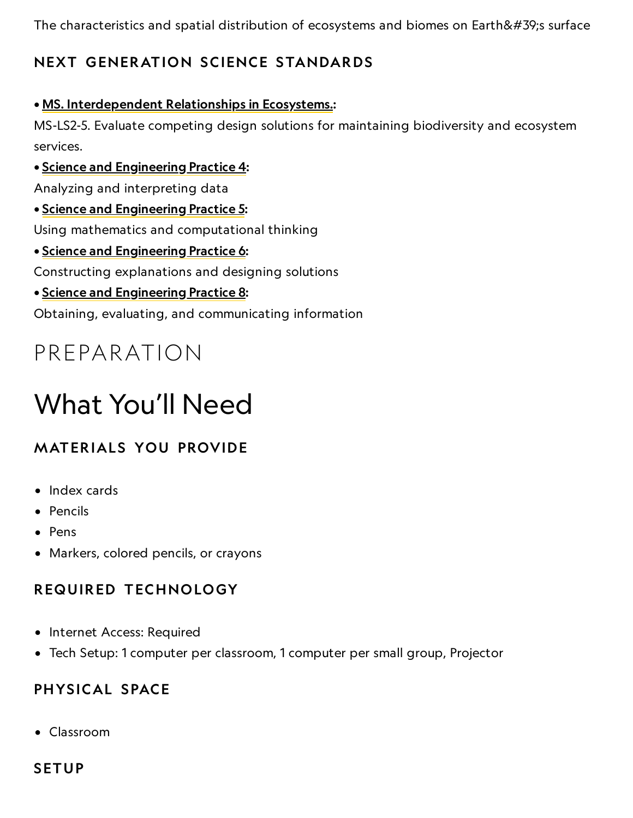The characteristics and spatial distribution of ecosystems and biomes on Earth's surface

### NEXT GENERATION SCIENCE STANDARDS

#### • MS. [Interdependent](http://www.nextgenscience.org/msls-ire-interdependent-relationships-ecosystems) Relationships in Ecosystems.:

MS-LS2-5. Evaluate competing design solutions for maintaining biodiversity and ecosystem services.

• Science and [Engineering](http://www.nap.edu/openbook.php?record_id=13165&page=61) Practice 4:

Analyzing and interpreting data

• Science and [Engineering](http://www.nap.edu/openbook.php?record_id=13165&page=64) Practice 5:

Using mathematics and computational thinking

• Science and [Engineering](http://www.nap.edu/openbook.php?record_id=13165&page=67) Practice 6:

Constructing explanations and designing solutions

• Science and [Engineering](http://www.nap.edu/openbook.php?record_id=13165&page=74) Practice 8:

Obtaining, evaluating, and communicating information

### PREPARATION

# What You'll Need

### **MATERIALS YOU PROVIDE**

- Index cards
- Pencils
- Pens
- Markers, colored pencils, or crayons

### REQUIRED TECHNOLOGY

- Internet Access: Required
- Tech Setup: 1 computer per classroom, 1 computer per small group, Projector

### PHYSICAL SPACE

Classroom

### **SETUP**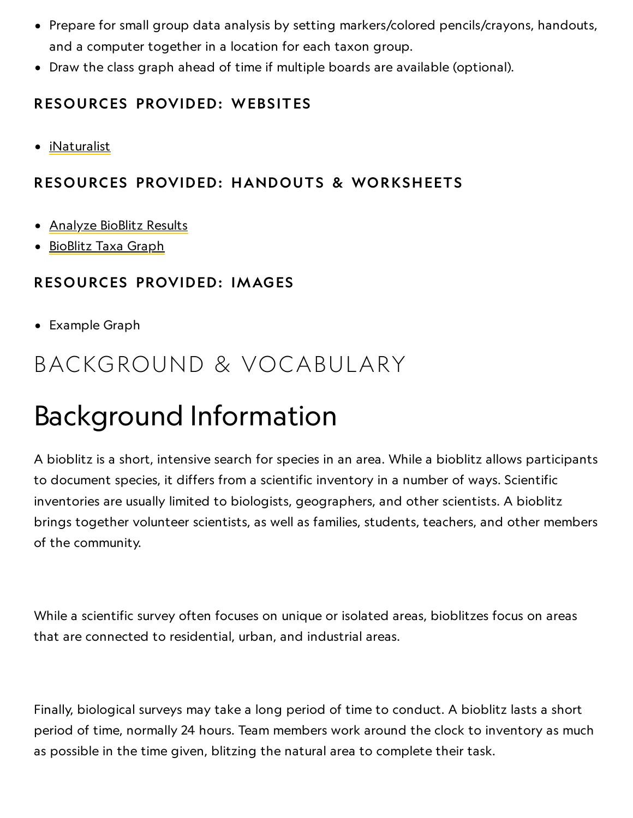- Prepare for small group data analysis by setting markers/colored pencils/crayons, handouts, and a computer together in a location for each taxon group.
	- Draw the class graph ahead of time if multiple boards are available (optional).

### RESOURCES PROVIDED: WEBSITES

[iNaturalist](http://www.inaturalist.org/)

### RESOURCES PROVIDED: HANDOUTS & WORKSHEETS

- [Analyze](https://media.nationalgeographic.org/assets/file/BB_1023_AnalyzeBioBlitzResults_Handout.pdf) BioBlitz Results
- [BioBlitz](https://media.nationalgeographic.org/assets/file/BB_1023_TaxaGraph_Handout.pdf) Taxa Graph

### RESOURCES PROVIDED: IMAGES

Example Graph

### BACKGROUND & VOCABULARY

## Background Information

A bioblitz is a short, intensive search for species in an area. While a bioblitz allows participants to document species, it differs from a scientific inventory in a number of ways. Scientific inventories are usually limited to biologists, geographers, and other scientists. A bioblitz brings together volunteer scientists, as well as families, students, teachers, and other members of the community.

While a scientific survey often focuses on unique or isolated areas, bioblitzes focus on areas that are connected to residential, urban, and industrial areas.

Finally, biological surveys may take a long period of time to conduct. A bioblitz lasts a short period of time, normally 24 hours. Team members work around the clock to inventory as much as possible in the time given, blitzing the natural area to complete their task.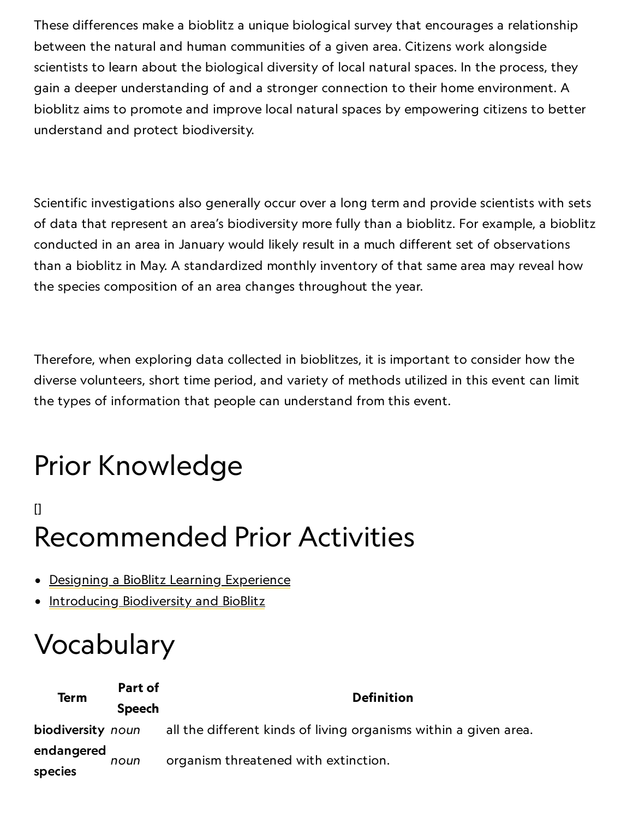These differences make a bioblitz a unique biological survey that encourages a relationship between the natural and human communities of a given area. Citizens work alongside scientists to learn about the biological diversity of local natural spaces. In the process, they gain a deeper understanding of and a stronger connection to their home environment. A bioblitz aims to promote and improve local natural spaces by empowering citizens to better understand and protect biodiversity.

Scientific investigations also generally occur over a long term and provide scientists with sets of data that represent an area's biodiversity more fully than a bioblitz. For example, a bioblitz conducted in an area in January would likely result in a much different set of observations than a bioblitz in May. A standardized monthly inventory of that same area may reveal how the species composition of an area changes throughout the year.

Therefore, when exploring data collected in bioblitzes, it is important to consider how the diverse volunteers, short time period, and variety of methods utilized in this event can limit the types of information that people can understand from this event.

# Prior Knowledge

### [] Recommended Prior Activities

- Designing a BioBlitz Learning [Experience](https://www.nationalgeographic.org/activity/designing-bioblitz-learning-experience/)
- [Introducing](https://www.nationalgeographic.org/activity/introducing-biodiversity-and-bioblitz/) Biodiversity and BioBlitz

# Vocabulary

| Term                  | Part of       | <b>Definition</b>                                                |
|-----------------------|---------------|------------------------------------------------------------------|
|                       | <b>Speech</b> |                                                                  |
| biodiversity noun     |               | all the different kinds of living organisms within a given area. |
| endangered<br>species | noun          | organism threatened with extinction.                             |